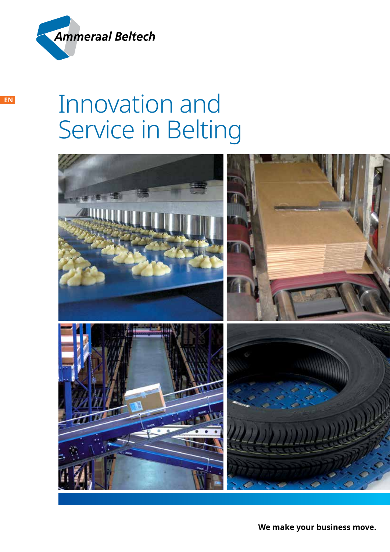

# Innovation and Service in Belting



**We make your business move.**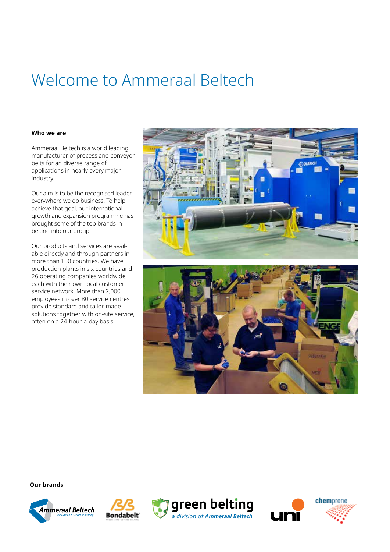## Welcome to Ammeraal Beltech

#### **Who we are**

Ammeraal Beltech is a world leading manufacturer of process and conveyor belts for an diverse range of applications in nearly every major industry.

Our aim is to be the recognised leader everywhere we do business. To help achieve that goal, our international growth and expansion programme has brought some of the top brands in belting into our group.

Our products and services are available directly and through partners in more than 150 countries. We have production plants in six countries and 26 operating companies worldwide, each with their own local customer service network. More than 2,000 employees in over 80 service centres provide standard and tailor-made solutions together with on-site service, often on a 24-hour-a-day basis.



**Our brands**







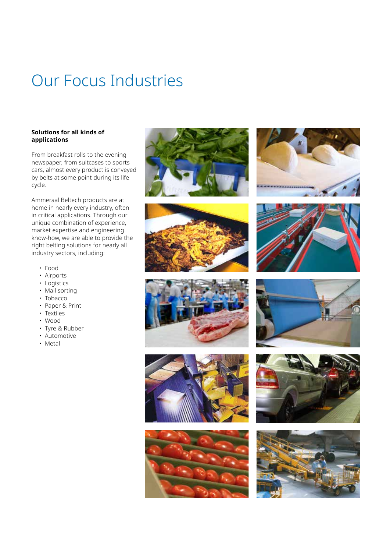### Our Focus Industries

#### **Solutions for all kinds of applications**

From breakfast rolls to the evening newspaper, from suitcases to sports cars, almost every product is conveyed by belts at some point during its life cycle.

Ammeraal Beltech products are at home in nearly every industry, often in critical applications. Through our unique combination of experience, market expertise and engineering know-how, we are able to provide the right belting solutions for nearly all industry sectors, including:

- Food
- Airports
- Logistics
- Mail sorting
- Tobacco
- Paper & Print
- Textiles
- Wood
- Tyre & Rubber
- Automotive
- Metal



















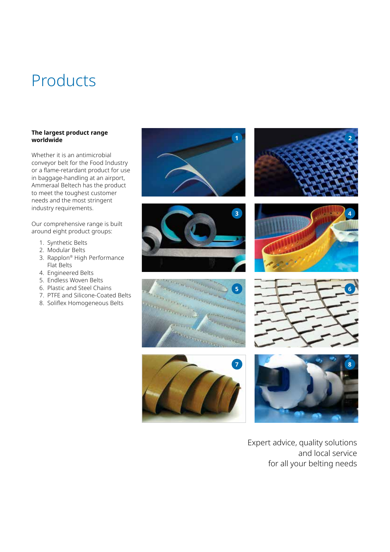## Products

#### **The largest product range worldwide**

Whether it is an antimicrobial conveyor belt for the Food Industry or a flame-retardant product for use in baggage-handling at an airport, Ammeraal Beltech has the product to meet the toughest customer needs and the most stringent industry requirements.

Our comprehensive range is built around eight product groups:

- 1. Synthetic Belts
- 2. Modular Belts
- 3. Rapplon® High Performance Flat Belts
- 4. Engineered Belts
- 5. Endless Woven Belts
- 6. Plastic and Steel Chains
- 7. PTFE and Silicone-Coated Belts
- 8. Soliflex Homogeneous Belts

















Expert advice, quality solutions and local service for all your belting needs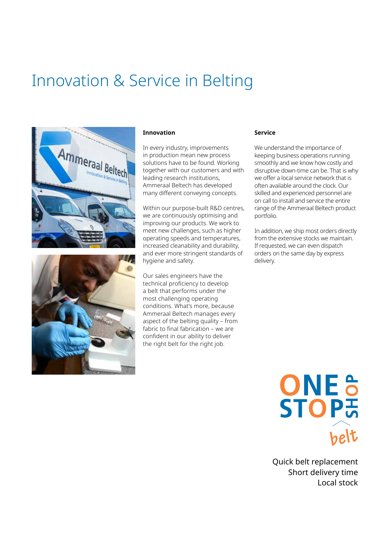## Innovation & Service in Belting





#### **Innovation**

In every industry, improvements in production mean new process solutions have to be found. Working together with our customers and with leading research institutions, Ammeraal Beltech has developed many different conveying concepts.

Within our purpose-built R&D centres, we are continuously optimising and improving our products. We work to meet new challenges, such as higher operating speeds and temperatures, increased cleanability and durability, and ever more stringent standards of hygiene and safety.

Our sales engineers have the technical proficiency to develop a belt that performs under the most challenging operating conditions. What's more, because Ammeraal Beltech manages every aspect of the belting quality – from fabric to final fabrication – we are confident in our ability to deliver the right belt for the right job.

#### **Service**

We understand the importance of keeping business operations running smoothly and we know how costly and disruptive down-time can be. That is why we offer a local service network that is often available around the clock. Our skilled and experienced personnel are on call to install and service the entire range of the Ammeraal Beltech product portfolio.

In addition, we ship most orders directly from the extensive stocks we maintain. If requested, we can even dispatch orders on the same day by express delivery.

ONE<sup>e</sup>

Quick belt replacement Short delivery time Local stock